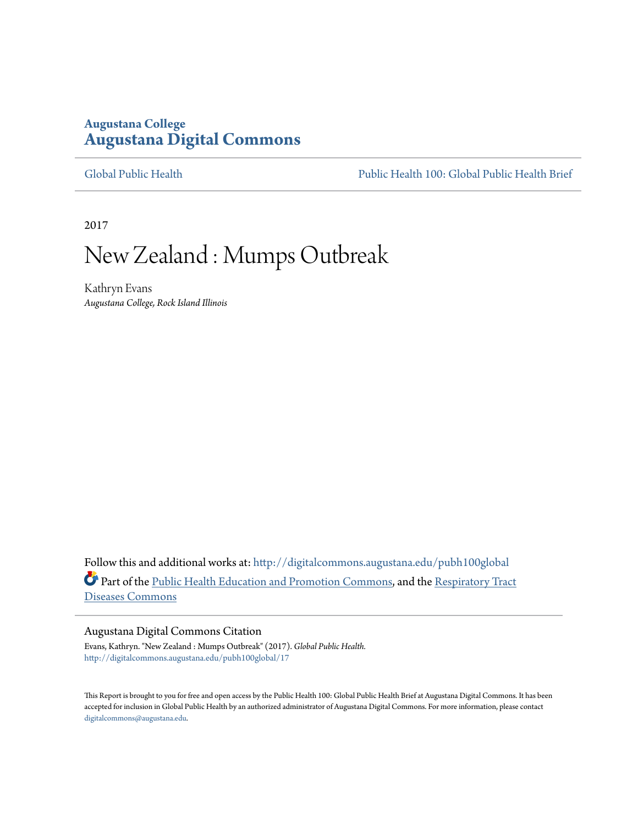# **Augustana College [Augustana Digital Commons](http://digitalcommons.augustana.edu?utm_source=digitalcommons.augustana.edu%2Fpubh100global%2F17&utm_medium=PDF&utm_campaign=PDFCoverPages)**

[Global Public Health](http://digitalcommons.augustana.edu/pubh100global?utm_source=digitalcommons.augustana.edu%2Fpubh100global%2F17&utm_medium=PDF&utm_campaign=PDFCoverPages) [Public Health 100: Global Public Health Brief](http://digitalcommons.augustana.edu/pubh100?utm_source=digitalcommons.augustana.edu%2Fpubh100global%2F17&utm_medium=PDF&utm_campaign=PDFCoverPages)

2017

# New Zealand : Mumps Outbreak

Kathryn Evans *Augustana College, Rock Island Illinois*

Follow this and additional works at: [http://digitalcommons.augustana.edu/pubh100global](http://digitalcommons.augustana.edu/pubh100global?utm_source=digitalcommons.augustana.edu%2Fpubh100global%2F17&utm_medium=PDF&utm_campaign=PDFCoverPages) Part of the [Public Health Education and Promotion Commons,](http://network.bepress.com/hgg/discipline/743?utm_source=digitalcommons.augustana.edu%2Fpubh100global%2F17&utm_medium=PDF&utm_campaign=PDFCoverPages) and the [Respiratory Tract](http://network.bepress.com/hgg/discipline/990?utm_source=digitalcommons.augustana.edu%2Fpubh100global%2F17&utm_medium=PDF&utm_campaign=PDFCoverPages) [Diseases Commons](http://network.bepress.com/hgg/discipline/990?utm_source=digitalcommons.augustana.edu%2Fpubh100global%2F17&utm_medium=PDF&utm_campaign=PDFCoverPages)

#### Augustana Digital Commons Citation

Evans, Kathryn. "New Zealand : Mumps Outbreak" (2017). *Global Public Health.* [http://digitalcommons.augustana.edu/pubh100global/17](http://digitalcommons.augustana.edu/pubh100global/17?utm_source=digitalcommons.augustana.edu%2Fpubh100global%2F17&utm_medium=PDF&utm_campaign=PDFCoverPages)

This Report is brought to you for free and open access by the Public Health 100: Global Public Health Brief at Augustana Digital Commons. It has been accepted for inclusion in Global Public Health by an authorized administrator of Augustana Digital Commons. For more information, please contact [digitalcommons@augustana.edu.](mailto:digitalcommons@augustana.edu)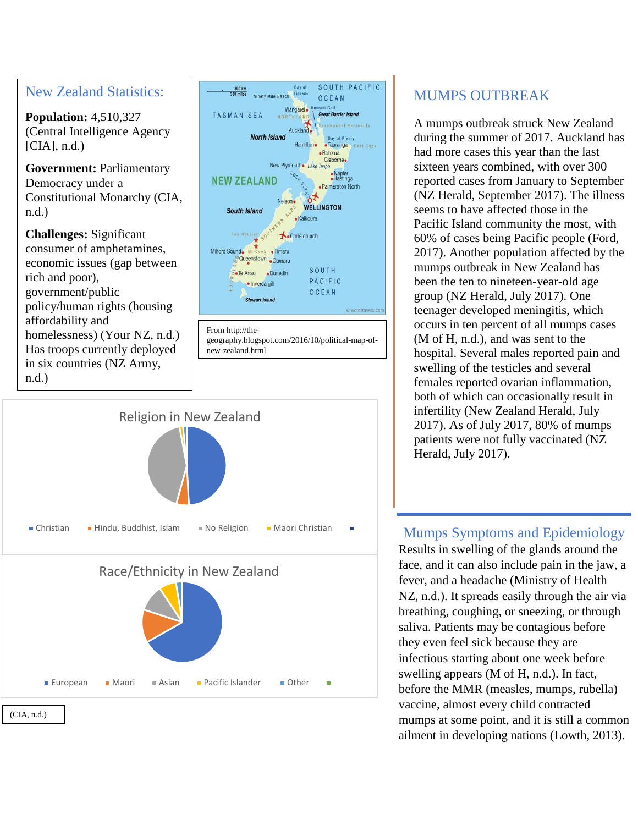



# MUMPS OUTBREAK

SOUTH PACIFIC

OCEAN

**Great Barrier Island** 

oromandol Peninsula

·Tauranga East Cape · Rotorua Gisborne.

Bay of Plenty

· Napier<br>• Hastings

· Palmerston North

A mumps outbreak struck New Zealand during the summer of 2017. Auckland has had more cases this year than the last sixteen years combined, with over 300 reported cases from January to September (NZ Herald, September 2017). The illness seems to have affected those in the Pacific Island community the most, with 60% of cases being Pacific people (Ford, 2017). Another population affected by the mumps outbreak in New Zealand has been the ten to nineteen-year-old age group (NZ Herald, July 2017). One teenager developed meningitis, which occurs in ten percent of all mumps cases (M of H, n.d.), and was sent to the hospital. Several males reported pain and swelling of the testicles and several females reported ovarian inflammation, both of which can occasionally result in infertility (New Zealand Herald, July 2017). As of July 2017, 80% of mumps patients were not fully vaccinated (NZ Herald, July 2017).

### Mumps Symptoms and Epidemiology

Results in swelling of the glands around the face, and it can also include pain in the jaw, a fever, and a headache (Ministry of Health NZ, n.d.). It spreads easily through the air via breathing, coughing, or sneezing, or through saliva. Patients may be contagious before they even feel sick because they are infectious starting about one week before swelling appears (M of H, n.d.). In fact, before the MMR (measles, mumps, rubella) vaccine, almost every child contracted mumps at some point, and it is still a common ailment in developing nations (Lowth, 2013).